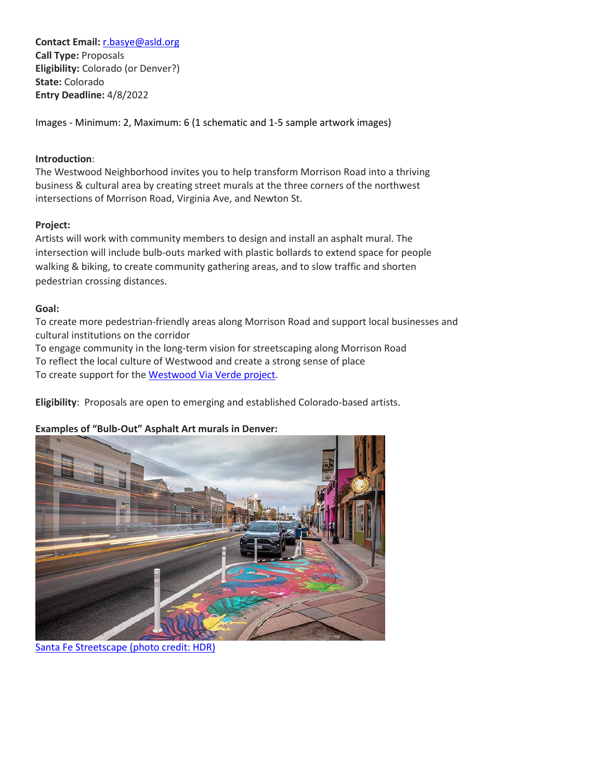**Contact Email:** [r.basye@asld.org](mailto:r.basye@asld.org) **Call Type:** Proposals **Eligibility:** Colorado (or Denver?) **State:** Colorado **Entry Deadline:** 4/8/2022

Images - Minimum: 2, Maximum: 6 (1 schematic and 1-5 sample artwork images)

### **Introduction**:

The Westwood Neighborhood invites you to help transform Morrison Road into a thriving business & cultural area by creating street murals at the three corners of the northwest intersections of Morrison Road, Virginia Ave, and Newton St.

## **Project:**

Artists will work with community members to design and install an asphalt mural. The intersection will include bulb-outs marked with plastic bollards to extend space for people walking & biking, to create community gathering areas, and to slow traffic and shorten pedestrian crossing distances.

#### **Goal:**

To create more pedestrian-friendly areas along Morrison Road and support local businesses and cultural institutions on the corridor

To engage community in the long-term vision for streetscaping along Morrison Road To reflect the local culture of Westwood and create a strong sense of place To create support for the [Westwood Via Verde](https://denverstreetspartnership.org/project/westwood-via-verde/) project.

**Eligibility**: Proposals are open to emerging and established Colorado-based artists.

# **Examples of "Bulb-Out" Asphalt Art murals in Denver:**



[Santa Fe Streetscape \(photo credit: HDR\)](https://www.hdrinc.com/portfolio/santa-fe-drive-streetscape-design)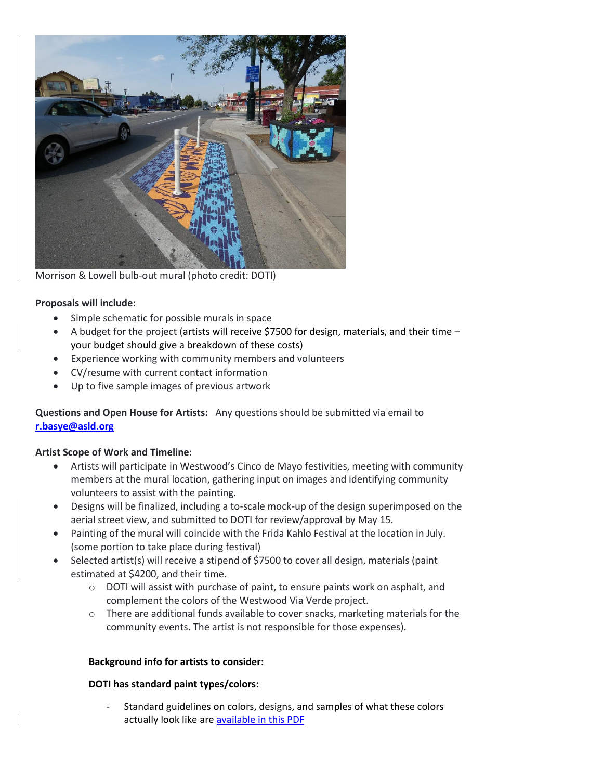

Morrison & Lowell bulb-out mural (photo credit: DOTI)

#### **Proposals will include:**

- Simple schematic for possible murals in space
- $\bullet$  A budget for the project (artists will receive \$7500 for design, materials, and their time your budget should give a breakdown of these costs)
- Experience working with community members and volunteers
- CV/resume with current contact information
- Up to five sample images of previous artwork

**Questions and Open House for Artists:** Any questions should be submitted via email to **[r.basye@asld.org](mailto:r.basye@asld.org)**

#### **Artist Scope of Work and Timeline**:

- Artists will participate in Westwood's Cinco de Mayo festivities, meeting with community members at the mural location, gathering input on images and identifying community volunteers to assist with the painting.
- Designs will be finalized, including a to-scale mock-up of the design superimposed on the aerial street view, and submitted to DOTI for review/approval by May 15.
- Painting of the mural will coincide with the Frida Kahlo Festival at the location in July. (some portion to take place during festival)
- Selected artist(s) will receive a stipend of \$7500 to cover all design, materials (paint estimated at \$4200, and their time.
	- $\circ$  DOTI will assist with purchase of paint, to ensure paints work on asphalt, and complement the colors of the Westwood Via Verde project.
	- $\circ$  There are additional funds available to cover snacks, marketing materials for the community events. The artist is not responsible for those expenses).

#### **Background info for artists to consider:**

#### **DOTI has standard paint types/colors:**

Standard guidelines on colors, designs, and samples of what these colors actually look like are [available in this PDF](https://asld.org/wp-content/uploads/Intersection-Mural-Design-Specs-Colors.pdf)